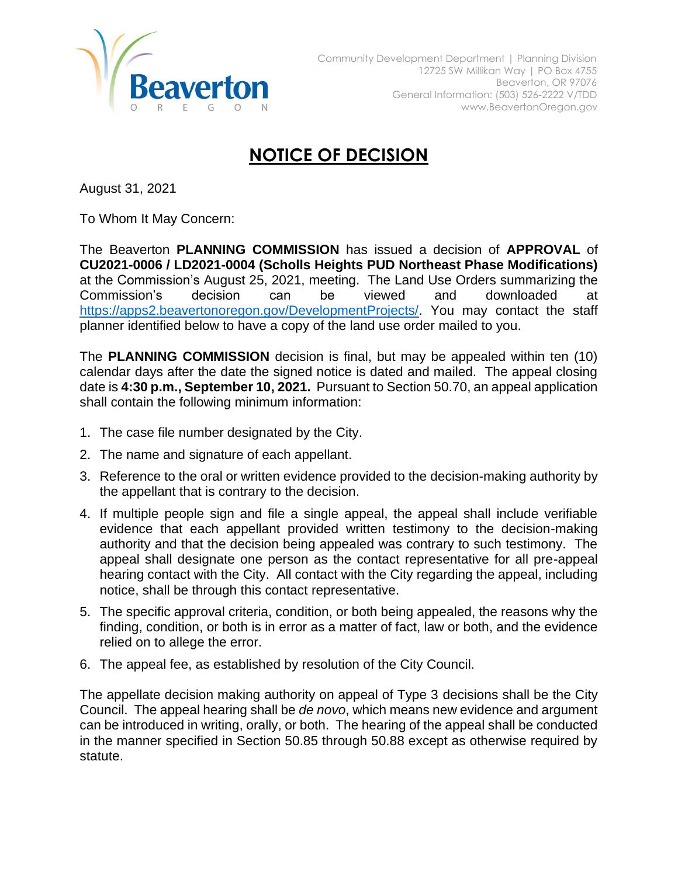

## **NOTICE OF DECISION**

August 31, 2021

To Whom It May Concern:

The Beaverton **PLANNING COMMISSION** has issued a decision of **APPROVAL** of **CU2021-0006 / LD2021-0004 (Scholls Heights PUD Northeast Phase Modifications)** at the Commission's August 25, 2021, meeting. The Land Use Orders summarizing the Commission's decision can be viewed and downloaded at [https://apps2.beavertonoregon.gov/DevelopmentProjects/.](https://apps2.beavertonoregon.gov/DevelopmentProjects/) You may contact the staff planner identified below to have a copy of the land use order mailed to you.

The **PLANNING COMMISSION** decision is final, but may be appealed within ten (10) calendar days after the date the signed notice is dated and mailed. The appeal closing date is **4:30 p.m., September 10, 2021.** Pursuant to Section 50.70, an appeal application shall contain the following minimum information:

- 1. The case file number designated by the City.
- 2. The name and signature of each appellant.
- 3. Reference to the oral or written evidence provided to the decision-making authority by the appellant that is contrary to the decision.
- 4. If multiple people sign and file a single appeal, the appeal shall include verifiable evidence that each appellant provided written testimony to the decision-making authority and that the decision being appealed was contrary to such testimony. The appeal shall designate one person as the contact representative for all pre-appeal hearing contact with the City. All contact with the City regarding the appeal, including notice, shall be through this contact representative.
- 5. The specific approval criteria, condition, or both being appealed, the reasons why the finding, condition, or both is in error as a matter of fact, law or both, and the evidence relied on to allege the error.
- 6. The appeal fee, as established by resolution of the City Council.

The appellate decision making authority on appeal of Type 3 decisions shall be the City Council. The appeal hearing shall be *de novo*, which means new evidence and argument can be introduced in writing, orally, or both. The hearing of the appeal shall be conducted in the manner specified in Section 50.85 through 50.88 except as otherwise required by statute.